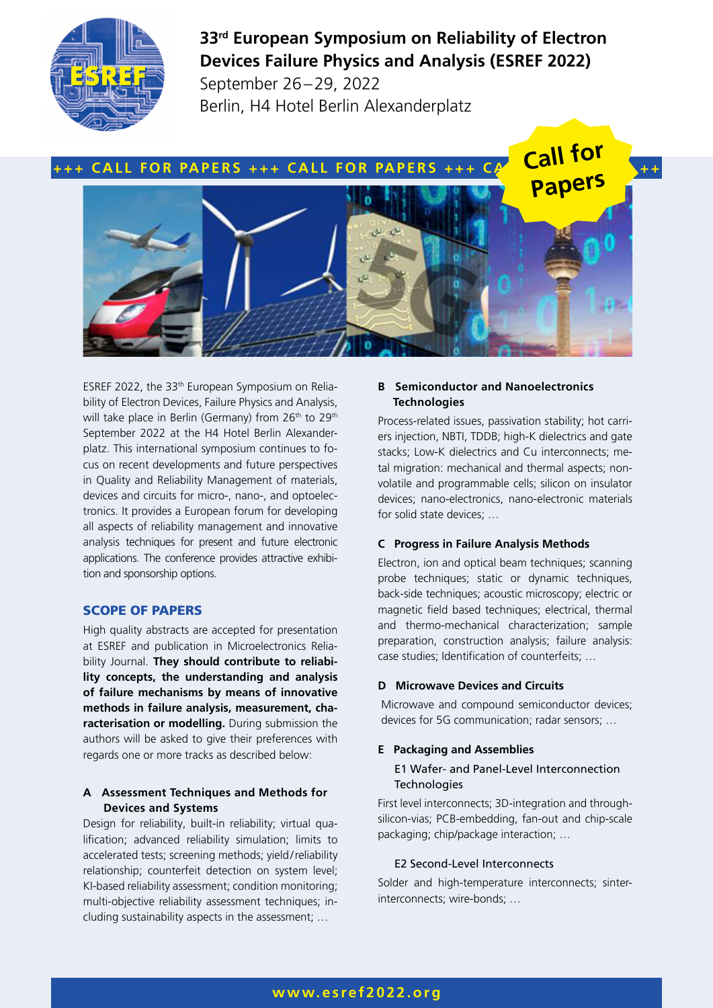

# **33rd European Symposium on Reliability of Electron Devices Failure Physics and Analysis (ESREF 2022)**

September 26–29, 2022 Berlin, H4 Hotel Berlin Alexanderplatz



ESREF 2022, the 33th European Symposium on Reliability of Electron Devices, Failure Physics and Analysis, will take place in Berlin (Germany) from 26<sup>th</sup> to 29<sup>th</sup> September 2022 at the H4 Hotel Berlin Alexanderplatz. This international symposium continues to focus on recent developments and future perspectives in Quality and Reliability Management of materials, devices and circuits for micro-, nano-, and optoelectronics. It provides a European forum for developing all aspects of reliability management and innovative analysis techniques for present and future electronic applications. The conference provides attractive exhibition and sponsorship options.

# SCOPE OF PAPERS

High quality abstracts are accepted for presentation at ESREF and publication in Microelectronics Reliability Journal. **They should contribute to reliability concepts, the understanding and analysis of failure mechanisms by means of innovative methods in failure analysis, measurement, characterisation or modelling.** During submission the authors will be asked to give their preferences with regards one or more tracks as described below:

#### **A Assessment Techniques and Methods for Devices and Systems**

Design for reliability, built-in reliability; virtual qualification; advanced reliability simulation; limits to accelerated tests; screening methods; yield/reliability relationship; counterfeit detection on system level; KI-based reliability assessment; condition monitoring; multi-objective reliability assessment techniques; including sustainability aspects in the assessment; …

# **B Semiconductor and Nanoelectronics Technologies**

Process-related issues, passivation stability; hot carriers injection, NBTI, TDDB; high-K dielectrics and gate stacks; Low-K dielectrics and Cu interconnects; metal migration: mechanical and thermal aspects; nonvolatile and programmable cells; silicon on insulator devices; nano-electronics, nano-electronic materials for solid state devices; …

## **C Progress in Failure Analysis Methods**

Electron, ion and optical beam techniques; scanning probe techniques; static or dynamic techniques, back-side techniques; acoustic microscopy; electric or magnetic field based techniques; electrical, thermal and thermo-mechanical characterization; sample preparation, construction analysis; failure analysis: case studies; Identification of counterfeits; …

#### **D Microwave Devices and Circuits**

Microwave and compound semiconductor devices; devices for 5G communication; radar sensors; …

## **E Packaging and Assemblies**

#### E1 Wafer- and Panel-Level Interconnection **Technologies**

First level interconnects; 3D-integration and throughsilicon-vias; PCB-embedding, fan-out and chip-scale packaging; chip/package interaction; …

#### E2 Second-Level Interconnects

Solder and high-temperature interconnects; sinterinterconnects; wire-bonds; …

# **www.esref2022.org**